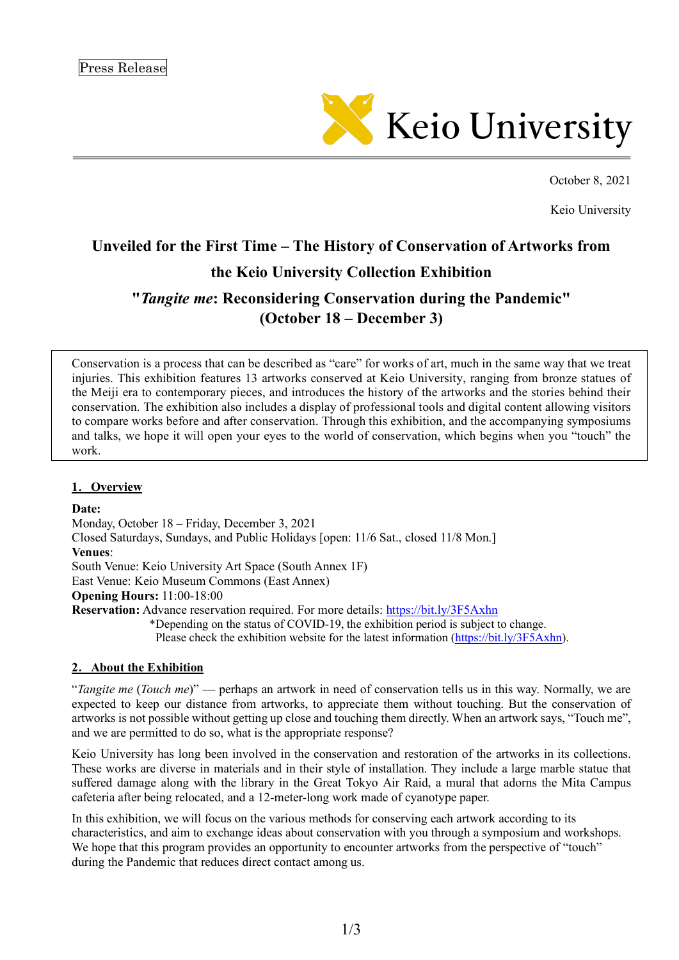

October 8, 2021

Keio University

# **Unveiled for the First Time – The History of Conservation of Artworks from**

# **the Keio University Collection Exhibition**

# **"***Tangite me***: Reconsidering Conservation during the Pandemic" (October 18 – December 3)**

Conservation is a process that can be described as "care" for works of art, much in the same way that we treat injuries. This exhibition features 13 artworks conserved at Keio University, ranging from bronze statues of the Meiji era to contemporary pieces, and introduces the history of the artworks and the stories behind their conservation. The exhibition also includes a display of professional tools and digital content allowing visitors to compare works before and after conservation. Through this exhibition, and the accompanying symposiums and talks, we hope it will open your eyes to the world of conservation, which begins when you "touch" the work.

### **1**.**Overview**

#### **Date:**

Monday, October 18 – Friday, December 3, 2021 Closed Saturdays, Sundays, and Public Holidays [open: 11/6 Sat., closed 11/8 Mon.] **Venues**: South Venue: Keio University Art Space (South Annex 1F) East Venue: Keio Museum Commons (East Annex) **Opening Hours:** 11:00-18:00 **Reservation:** Advance reservation required. For more details: https://bit.ly/3F5Axhn \*Depending on the status of COVID-19, the exhibition period is subject to change. Please check the exhibition website for the latest information (https://bit.ly/3F5Axhn).

#### **2**.**About the Exhibition**

"*Tangite me* (*Touch me*)" — perhaps an artwork in need of conservation tells us in this way. Normally, we are expected to keep our distance from artworks, to appreciate them without touching. But the conservation of artworks is not possible without getting up close and touching them directly. When an artwork says, "Touch me", and we are permitted to do so, what is the appropriate response?

Keio University has long been involved in the conservation and restoration of the artworks in its collections. These works are diverse in materials and in their style of installation. They include a large marble statue that suffered damage along with the library in the Great Tokyo Air Raid, a mural that adorns the Mita Campus cafeteria after being relocated, and a 12-meter-long work made of cyanotype paper.

In this exhibition, we will focus on the various methods for conserving each artwork according to its characteristics, and aim to exchange ideas about conservation with you through a symposium and workshops. We hope that this program provides an opportunity to encounter artworks from the perspective of "touch" during the Pandemic that reduces direct contact among us.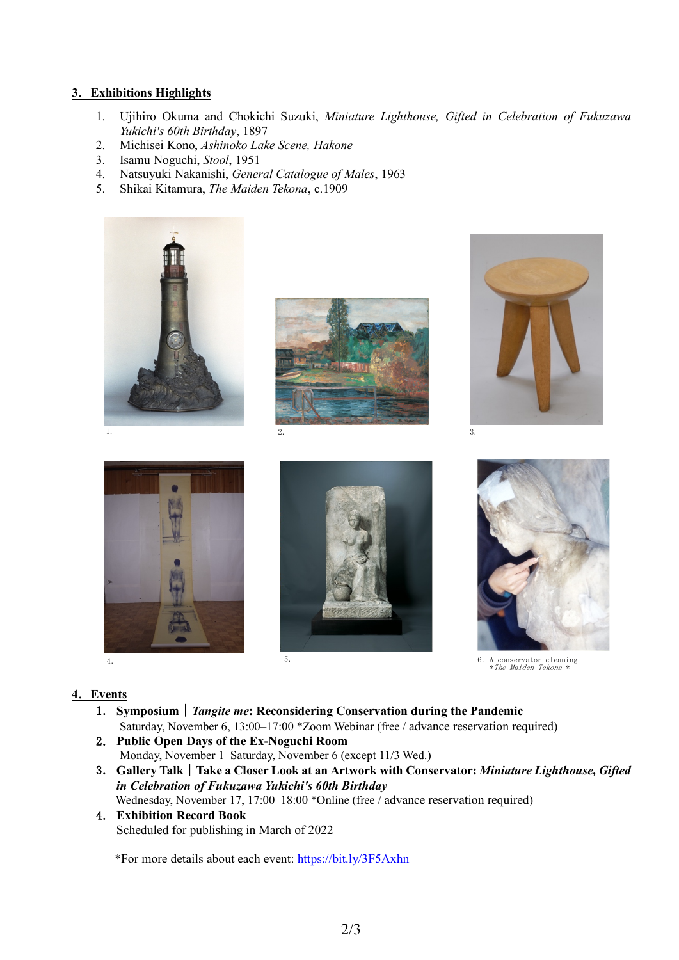## **3**.**Exhibitions Highlights**

- 1. Ujihiro Okuma and Chokichi Suzuki, *Miniature Lighthouse, Gifted in Celebration of Fukuzawa Yukichi's 60th Birthday*, 1897
- 2. Michisei Kono, *Ashinoko Lake Scene, Hakone*
- 3. Isamu Noguchi, *Stool*, 1951
- 4. Natsuyuki Nakanishi, *General Catalogue of Males*, 1963
- 5. Shikai Kitamura, *The Maiden Tekona*, c.1909

















6.A conservator cleaning \*The Maiden Tekona \*

## **4**.**Events**

- 1.**Symposium**|*Tangite me***: Reconsidering Conservation during the Pandemic** Saturday, November 6, 13:00–17:00 \*Zoom Webinar (free / advance reservation required)
- 2.**Public Open Days of the Ex-Noguchi Room** Monday, November 1–Saturday, November 6 (except 11/3 Wed.)
- 3.**Gallery Talk**|**Take a Closer Look at an Artwork with Conservator:** *Miniature Lighthouse, Gifted in Celebration of Fukuzawa Yukichi's 60th Birthday* Wednesday, November 17, 17:00-18:00 \*Online (free / advance reservation required)
- 4.**Exhibition Record Book** Scheduled for publishing in March of 2022

\*For more details about each event: https://bit.ly/3F5Axhn